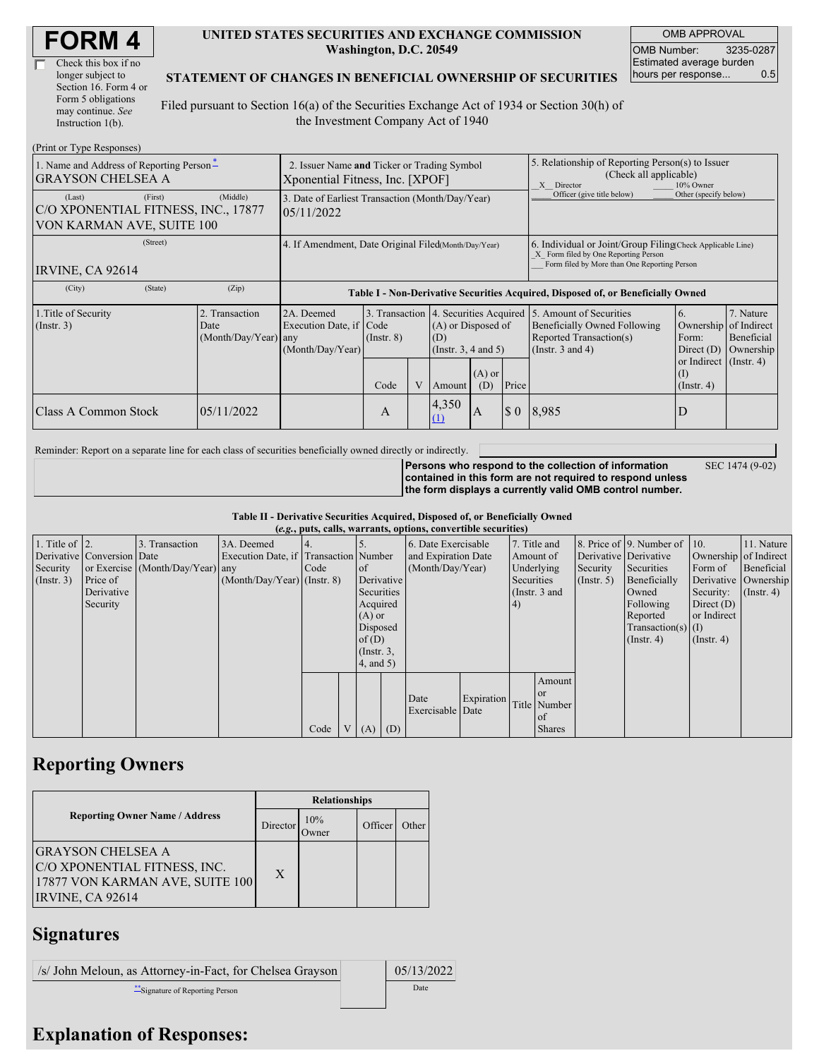| Check this box if no  |
|-----------------------|
| longer subject to     |
| Section 16. Form 4 or |
| Form 5 obligations    |
| may continue. See     |
| Instruction $1(b)$ .  |

#### **UNITED STATES SECURITIES AND EXCHANGE COMMISSION Washington, D.C. 20549**

OMB APPROVAL OMB Number: 3235-0287 Estimated average burden hours per response... 0.5

SEC 1474 (9-02)

#### **STATEMENT OF CHANGES IN BENEFICIAL OWNERSHIP OF SECURITIES**

Filed pursuant to Section 16(a) of the Securities Exchange Act of 1934 or Section 30(h) of the Investment Company Act of 1940

| (Print or Type Responses)                                                  |                                                                                |                                                                                                                                                                                                                                    |                                                                                  |      |                                                                                                             |                                                                                             |                                                                                                                                                    |                             |       |                  |  |
|----------------------------------------------------------------------------|--------------------------------------------------------------------------------|------------------------------------------------------------------------------------------------------------------------------------------------------------------------------------------------------------------------------------|----------------------------------------------------------------------------------|------|-------------------------------------------------------------------------------------------------------------|---------------------------------------------------------------------------------------------|----------------------------------------------------------------------------------------------------------------------------------------------------|-----------------------------|-------|------------------|--|
| 1. Name and Address of Reporting Person-<br><b>GRAYSON CHELSEA A</b>       | 2. Issuer Name and Ticker or Trading Symbol<br>Xponential Fitness, Inc. [XPOF] |                                                                                                                                                                                                                                    |                                                                                  |      |                                                                                                             |                                                                                             | 5. Relationship of Reporting Person(s) to Issuer<br>(Check all applicable)<br>X Director<br>10% Owner                                              |                             |       |                  |  |
| (Last)<br>C/O XPONENTIAL FITNESS, INC., 17877<br>VON KARMAN AVE, SUITE 100 | 3. Date of Earliest Transaction (Month/Day/Year)<br>05/11/2022                 |                                                                                                                                                                                                                                    |                                                                                  |      |                                                                                                             |                                                                                             | Officer (give title below)                                                                                                                         | Other (specify below)       |       |                  |  |
| IRVINE, CA 92614                                                           | 4. If Amendment, Date Original Filed(Month/Day/Year)                           |                                                                                                                                                                                                                                    |                                                                                  |      |                                                                                                             |                                                                                             | 6. Individual or Joint/Group Filing Check Applicable Line)<br>X Form filed by One Reporting Person<br>Form filed by More than One Reporting Person |                             |       |                  |  |
| (City)                                                                     | (State)                                                                        | (Zip)                                                                                                                                                                                                                              | Table I - Non-Derivative Securities Acquired, Disposed of, or Beneficially Owned |      |                                                                                                             |                                                                                             |                                                                                                                                                    |                             |       |                  |  |
| 1. Title of Security<br>$($ Instr. 3 $)$                                   |                                                                                | 3. Transaction 4. Securities Acquired<br>2. Transaction<br>2A. Deemed<br>Execution Date, if Code<br>(A) or Disposed of<br>Date<br>$(Month/Day/Year)$ any<br>$($ Instr. $8)$<br>(D)<br>(Month/Day/Year)<br>(Instr. $3, 4$ and $5$ ) |                                                                                  |      | 5. Amount of Securities<br>Beneficially Owned Following<br>Reported Transaction(s)<br>(Instr. $3$ and $4$ ) | 6.<br>Ownership of Indirect<br>Form:<br>Direct $(D)$<br>or Indirect $($ Instr. 4 $)$<br>(I) | 7. Nature<br>Beneficial<br>Ownership                                                                                                               |                             |       |                  |  |
|                                                                            |                                                                                |                                                                                                                                                                                                                                    |                                                                                  | Code | V                                                                                                           | Amount                                                                                      | $(A)$ or<br>(D)                                                                                                                                    | Price                       |       | $($ Instr. 4 $)$ |  |
| Class A Common Stock                                                       |                                                                                | 05/11/2022                                                                                                                                                                                                                         |                                                                                  | А    |                                                                                                             | 4,350<br>(1)                                                                                | A                                                                                                                                                  | $\boldsymbol{\mathsf{S}}$ 0 | 8.985 | D                |  |

Reminder: Report on a separate line for each class of securities beneficially owned directly or indirectly.

**Persons who respond to the collection of information contained in this form are not required to respond unless the form displays a currently valid OMB control number.**

**Table II - Derivative Securities Acquired, Disposed of, or Beneficially Owned**

|                        |                            |                                  |                                       |      |                 |     | (e.g., puts, calls, warrants, options, convertible securities) |            |            |                 |                       |                          |                       |                  |
|------------------------|----------------------------|----------------------------------|---------------------------------------|------|-----------------|-----|----------------------------------------------------------------|------------|------------|-----------------|-----------------------|--------------------------|-----------------------|------------------|
| 1. Title of $\vert$ 2. |                            | 3. Transaction                   | 3A. Deemed                            |      |                 |     | 6. Date Exercisable                                            |            |            | 7. Title and    |                       | 8. Price of 9. Number of | $\vert$ 10.           | 11. Nature       |
|                        | Derivative Conversion Date |                                  | Execution Date, if Transaction Number |      |                 |     | and Expiration Date                                            |            |            | Amount of       | Derivative Derivative |                          | Ownership of Indirect |                  |
| Security               |                            | or Exercise (Month/Day/Year) any |                                       | Code | <sub>of</sub>   |     | (Month/Day/Year)                                               |            |            | Underlying      | Security              | Securities               | Form of               | Beneficial       |
| (Insert. 3)            | Price of                   |                                  | $(Month/Day/Year)$ (Instr. 8)         |      | Derivative      |     |                                                                |            | Securities |                 | $($ Instr. 5)         | Beneficially             | Derivative Ownership  |                  |
|                        | Derivative                 |                                  |                                       |      | Securities      |     |                                                                |            |            | (Instr. $3$ and |                       | Owned                    | Security:             | $($ Instr. 4 $)$ |
|                        | Security                   |                                  |                                       |      | Acquired        |     |                                                                |            | 4)         |                 |                       | Following                | Direct $(D)$          |                  |
|                        |                            |                                  |                                       |      | $(A)$ or        |     |                                                                |            |            |                 |                       | Reported                 | or Indirect           |                  |
|                        |                            |                                  |                                       |      | Disposed        |     |                                                                |            |            |                 |                       | Transaction(s) $(I)$     |                       |                  |
|                        |                            |                                  |                                       |      | of(D)           |     |                                                                |            |            |                 |                       | $($ Instr. 4 $)$         | $($ Instr. 4 $)$      |                  |
|                        |                            |                                  |                                       |      | $($ Instr. $3,$ |     |                                                                |            |            |                 |                       |                          |                       |                  |
|                        |                            |                                  |                                       |      | $4$ , and $5$ ) |     |                                                                |            |            |                 |                       |                          |                       |                  |
|                        |                            |                                  |                                       |      |                 |     |                                                                |            |            | Amount          |                       |                          |                       |                  |
|                        |                            |                                  |                                       |      |                 |     |                                                                |            |            | <sub>or</sub>   |                       |                          |                       |                  |
|                        |                            |                                  |                                       |      |                 |     | Date                                                           | Expiration |            | Title Number    |                       |                          |                       |                  |
|                        |                            |                                  |                                       |      |                 |     | Exercisable Date                                               |            |            | <sub>of</sub>   |                       |                          |                       |                  |
|                        |                            |                                  |                                       | Code | V(A)            | (D) |                                                                |            |            | <b>Shares</b>   |                       |                          |                       |                  |

## **Reporting Owners**

|                                                                                                                 | <b>Relationships</b> |              |         |       |  |  |  |
|-----------------------------------------------------------------------------------------------------------------|----------------------|--------------|---------|-------|--|--|--|
| <b>Reporting Owner Name / Address</b>                                                                           | Director             | 10%<br>)wner | Officer | Other |  |  |  |
| <b>GRAYSON CHELSEA A</b><br>C/O XPONENTIAL FITNESS, INC.<br>17877 VON KARMAN AVE, SUITE 100<br>IRVINE, CA 92614 | X                    |              |         |       |  |  |  |

### **Signatures**

 $\sqrt{s}$  John Meloun, as Attorney-in-Fact, for Chelsea Grayson | 05/13/2022 \*\*Signature of Reporting Person Date

# **Explanation of Responses:**